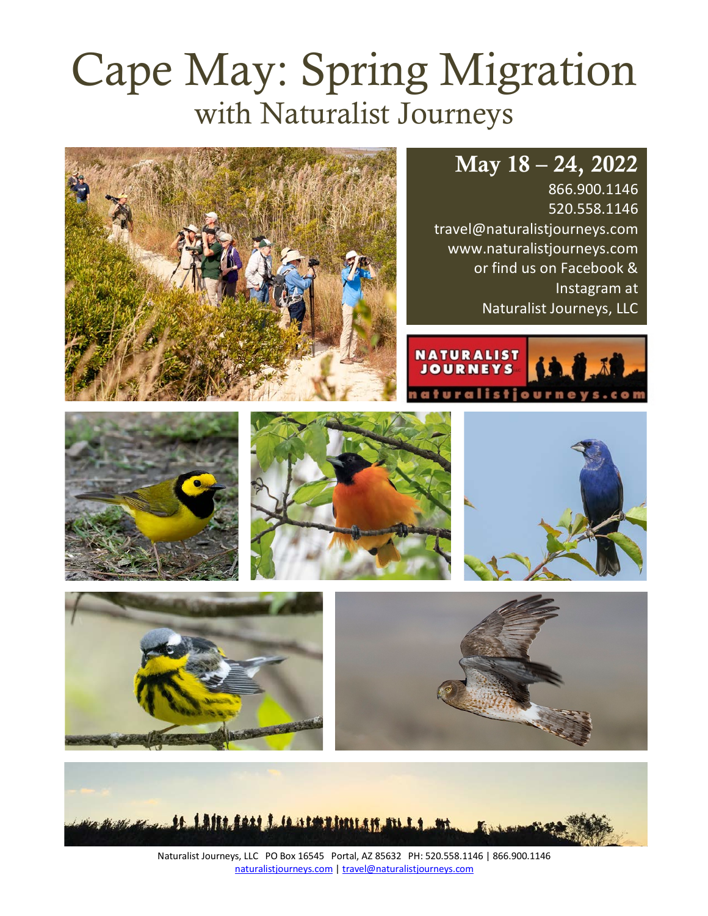# Cape May: Spring Migration with Naturalist Journeys



866.900.1146 520.558.1146 travel@naturalistjourneys.com www.naturalistjourneys.com or find us on Facebook & Instagram at Naturalist Journeys, LLC















Naturalist Journeys, LLC PO Box 16545 Portal, AZ 85632 PH: 520.558.1146 | 866.900.1146 naturalistjourneys.com | travel@naturalistjourneys.com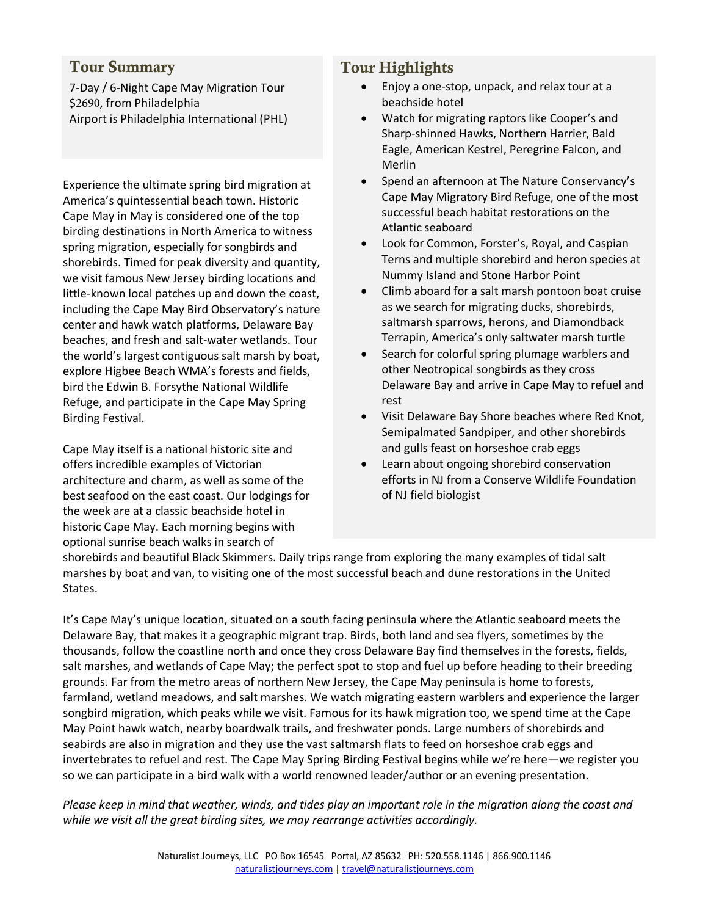#### Tour Summary

7-Day / 6-Night Cape May Migration Tour \$2690, from Philadelphia Airport is Philadelphia International (PHL)

Experience the ultimate spring bird migration at America's quintessential beach town. Historic Cape May in May is considered one of the top birding destinations in North America to witness spring migration, especially for songbirds and shorebirds. Timed for peak diversity and quantity, we visit famous New Jersey birding locations and little-known local patches up and down the coast, including the Cape May Bird Observatory's nature center and hawk watch platforms, Delaware Bay beaches, and fresh and salt-water wetlands. Tour the world's largest contiguous salt marsh by boat, explore Higbee Beach WMA's forests and fields, bird the Edwin B. Forsythe National Wildlife Refuge, and participate in the Cape May Spring Birding Festival.

Cape May itself is a national historic site and offers incredible examples of Victorian architecture and charm, as well as some of the best seafood on the east coast. Our lodgings for the week are at a classic beachside hotel in historic Cape May. Each morning begins with optional sunrise beach walks in search of

#### Tour Highlights

- Enjoy a one-stop, unpack, and relax tour at a beachside hotel
- Watch for migrating raptors like Cooper's and Sharp-shinned Hawks, Northern Harrier, Bald Eagle, American Kestrel, Peregrine Falcon, and Merlin
- Spend an afternoon at The Nature Conservancy's Cape May Migratory Bird Refuge, one of the most successful beach habitat restorations on the Atlantic seaboard
- Look for Common, Forster's, Royal, and Caspian Terns and multiple shorebird and heron species at Nummy Island and Stone Harbor Point
- Climb aboard for a salt marsh pontoon boat cruise as we search for migrating ducks, shorebirds, saltmarsh sparrows, herons, and Diamondback Terrapin, America's only saltwater marsh turtle
- Search for colorful spring plumage warblers and other Neotropical songbirds as they cross Delaware Bay and arrive in Cape May to refuel and rest
- Visit Delaware Bay Shore beaches where Red Knot, Semipalmated Sandpiper, and other shorebirds and gulls feast on horseshoe crab eggs
- Learn about ongoing shorebird conservation efforts in NJ from a Conserve Wildlife Foundation of NJ field biologist

shorebirds and beautiful Black Skimmers. Daily trips range from exploring the many examples of tidal salt marshes by boat and van, to visiting one of the most successful beach and dune restorations in the United States.

It's Cape May's unique location, situated on a south facing peninsula where the Atlantic seaboard meets the Delaware Bay, that makes it a geographic migrant trap. Birds, both land and sea flyers, sometimes by the thousands, follow the coastline north and once they cross Delaware Bay find themselves in the forests, fields, salt marshes, and wetlands of Cape May; the perfect spot to stop and fuel up before heading to their breeding grounds. Far from the metro areas of northern New Jersey, the Cape May peninsula is home to forests, farmland, wetland meadows, and salt marshes. We watch migrating eastern warblers and experience the larger songbird migration, which peaks while we visit. Famous for its hawk migration too, we spend time at the Cape May Point hawk watch, nearby boardwalk trails, and freshwater ponds. Large numbers of shorebirds and seabirds are also in migration and they use the vast saltmarsh flats to feed on horseshoe crab eggs and invertebrates to refuel and rest. The Cape May Spring Birding Festival begins while we're here—we register you so we can participate in a bird walk with a world renowned leader/author or an evening presentation.

*Please keep in mind that weather, winds, and tides play an important role in the migration along the coast and while we visit all the great birding sites, we may rearrange activities accordingly.*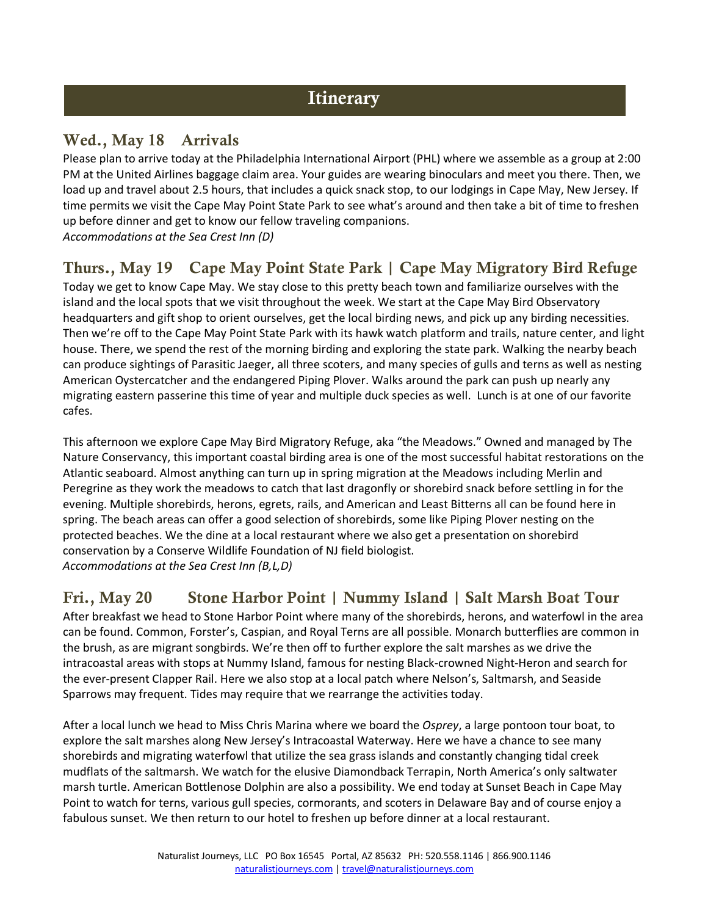# **Itinerary**

#### Wed., May 18 Arrivals

Please plan to arrive today at the Philadelphia International Airport (PHL) where we assemble as a group at 2:00 PM at the United Airlines baggage claim area. Your guides are wearing binoculars and meet you there. Then, we load up and travel about 2.5 hours, that includes a quick snack stop, to our lodgings in Cape May, New Jersey. If time permits we visit the Cape May Point State Park to see what's around and then take a bit of time to freshen up before dinner and get to know our fellow traveling companions. *Accommodations at the Sea Crest Inn (D)*

### Thurs., May 19 Cape May Point State Park | Cape May Migratory Bird Refuge

Today we get to know Cape May. We stay close to this pretty beach town and familiarize ourselves with the island and the local spots that we visit throughout the week. We start at the Cape May Bird Observatory headquarters and gift shop to orient ourselves, get the local birding news, and pick up any birding necessities. Then we're off to the Cape May Point State Park with its hawk watch platform and trails, nature center, and light house. There, we spend the rest of the morning birding and exploring the state park. Walking the nearby beach can produce sightings of Parasitic Jaeger, all three scoters, and many species of gulls and terns as well as nesting American Oystercatcher and the endangered Piping Plover. Walks around the park can push up nearly any migrating eastern passerine this time of year and multiple duck species as well. Lunch is at one of our favorite cafes.

This afternoon we explore Cape May Bird Migratory Refuge, aka "the Meadows." Owned and managed by The Nature Conservancy, this important coastal birding area is one of the most successful habitat restorations on the Atlantic seaboard. Almost anything can turn up in spring migration at the Meadows including Merlin and Peregrine as they work the meadows to catch that last dragonfly or shorebird snack before settling in for the evening. Multiple shorebirds, herons, egrets, rails, and American and Least Bitterns all can be found here in spring. The beach areas can offer a good selection of shorebirds, some like Piping Plover nesting on the protected beaches. We the dine at a local restaurant where we also get a presentation on shorebird conservation by a Conserve Wildlife Foundation of NJ field biologist. *Accommodations at the Sea Crest Inn (B,L,D)* 

#### Fri., May 20 Stone Harbor Point | Nummy Island | Salt Marsh Boat Tour

After breakfast we head to Stone Harbor Point where many of the shorebirds, herons, and waterfowl in the area can be found. Common, Forster's, Caspian, and Royal Terns are all possible. Monarch butterflies are common in the brush, as are migrant songbirds. We're then off to further explore the salt marshes as we drive the intracoastal areas with stops at Nummy Island, famous for nesting Black-crowned Night-Heron and search for the ever-present Clapper Rail. Here we also stop at a local patch where Nelson's, Saltmarsh, and Seaside Sparrows may frequent. Tides may require that we rearrange the activities today.

After a local lunch we head to Miss Chris Marina where we board the *Osprey*, a large pontoon tour boat, to explore the salt marshes along New Jersey's Intracoastal Waterway. Here we have a chance to see many shorebirds and migrating waterfowl that utilize the sea grass islands and constantly changing tidal creek mudflats of the saltmarsh. We watch for the elusive Diamondback Terrapin, North America's only saltwater marsh turtle. American Bottlenose Dolphin are also a possibility. We end today at Sunset Beach in Cape May Point to watch for terns, various gull species, cormorants, and scoters in Delaware Bay and of course enjoy a fabulous sunset. We then return to our hotel to freshen up before dinner at a local restaurant.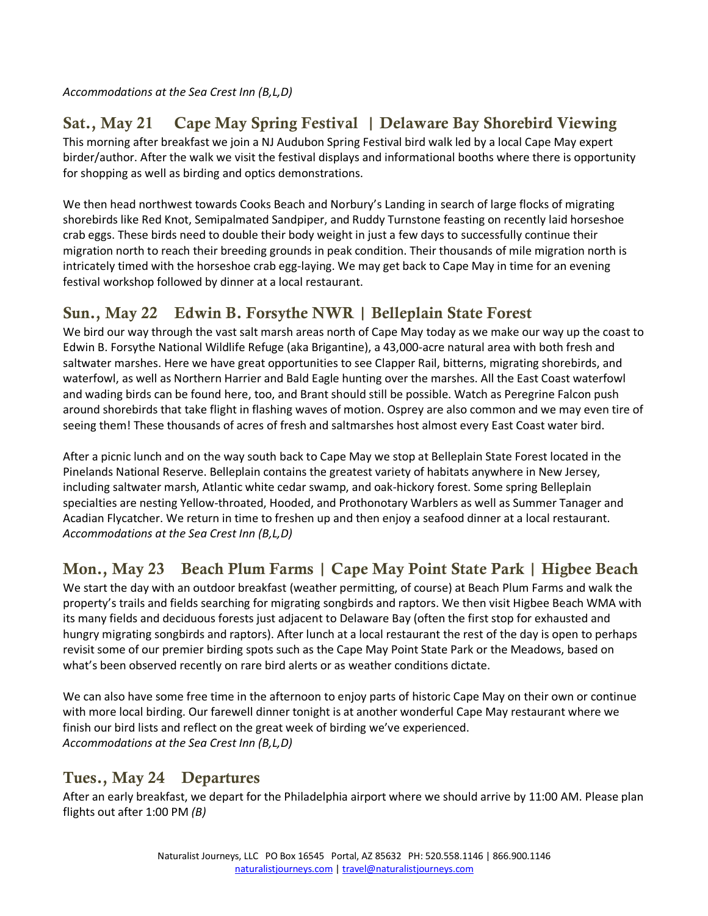*Accommodations at the Sea Crest Inn (B,L,D)* 

# Sat., May 21 Cape May Spring Festival | Delaware Bay Shorebird Viewing

This morning after breakfast we join a NJ Audubon Spring Festival bird walk led by a local Cape May expert birder/author. After the walk we visit the festival displays and informational booths where there is opportunity for shopping as well as birding and optics demonstrations.

We then head northwest towards Cooks Beach and Norbury's Landing in search of large flocks of migrating shorebirds like Red Knot, Semipalmated Sandpiper, and Ruddy Turnstone feasting on recently laid horseshoe crab eggs. These birds need to double their body weight in just a few days to successfully continue their migration north to reach their breeding grounds in peak condition. Their thousands of mile migration north is intricately timed with the horseshoe crab egg-laying. We may get back to Cape May in time for an evening festival workshop followed by dinner at a local restaurant.

## Sun., May 22 Edwin B. Forsythe NWR | Belleplain State Forest

We bird our way through the vast salt marsh areas north of Cape May today as we make our way up the coast to Edwin B. Forsythe National Wildlife Refuge (aka Brigantine), a 43,000-acre natural area with both fresh and saltwater marshes. Here we have great opportunities to see Clapper Rail, bitterns, migrating shorebirds, and waterfowl, as well as Northern Harrier and Bald Eagle hunting over the marshes. All the East Coast waterfowl and wading birds can be found here, too, and Brant should still be possible. Watch as Peregrine Falcon push around shorebirds that take flight in flashing waves of motion. Osprey are also common and we may even tire of seeing them! These thousands of acres of fresh and saltmarshes host almost every East Coast water bird.

After a picnic lunch and on the way south back to Cape May we stop at Belleplain State Forest located in the Pinelands National Reserve. Belleplain contains the greatest variety of habitats anywhere in New Jersey, including saltwater marsh, Atlantic white cedar swamp, and oak-hickory forest. Some spring Belleplain specialties are nesting Yellow-throated, Hooded, and Prothonotary Warblers as well as Summer Tanager and Acadian Flycatcher. We return in time to freshen up and then enjoy a seafood dinner at a local restaurant. *Accommodations at the Sea Crest Inn (B,L,D)* 

# Mon., May 23 Beach Plum Farms | Cape May Point State Park | Higbee Beach

We start the day with an outdoor breakfast (weather permitting, of course) at Beach Plum Farms and walk the property's trails and fields searching for migrating songbirds and raptors. We then visit Higbee Beach WMA with its many fields and deciduous forests just adjacent to Delaware Bay (often the first stop for exhausted and hungry migrating songbirds and raptors). After lunch at a local restaurant the rest of the day is open to perhaps revisit some of our premier birding spots such as the Cape May Point State Park or the Meadows, based on what's been observed recently on rare bird alerts or as weather conditions dictate.

We can also have some free time in the afternoon to enjoy parts of historic Cape May on their own or continue with more local birding. Our farewell dinner tonight is at another wonderful Cape May restaurant where we finish our bird lists and reflect on the great week of birding we've experienced. *Accommodations at the Sea Crest Inn (B,L,D)* 

#### Tues., May 24 Departures

After an early breakfast, we depart for the Philadelphia airport where we should arrive by 11:00 AM. Please plan flights out after 1:00 PM *(B)*